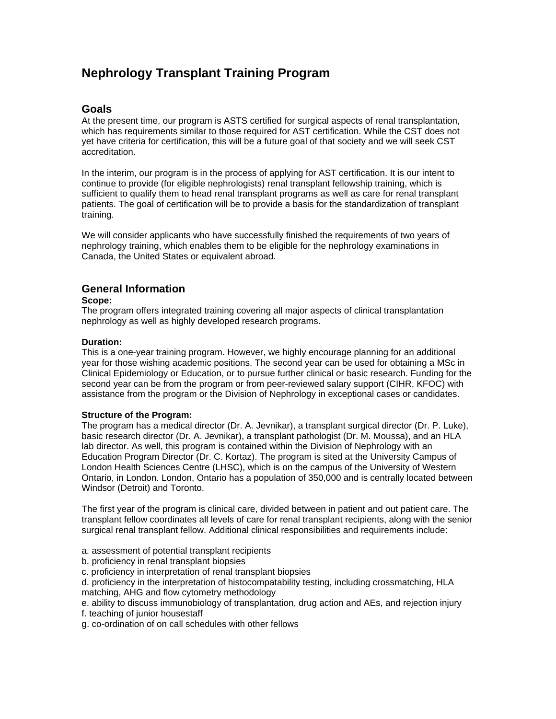# **Nephrology Transplant Training Program**

# **Goals**

At the present time, our program is ASTS certified for surgical aspects of renal transplantation, which has requirements similar to those required for AST certification. While the CST does not yet have criteria for certification, this will be a future goal of that society and we will seek CST accreditation.

In the interim, our program is in the process of applying for AST certification. It is our intent to continue to provide (for eligible nephrologists) renal transplant fellowship training, which is sufficient to qualify them to head renal transplant programs as well as care for renal transplant patients. The goal of certification will be to provide a basis for the standardization of transplant training.

We will consider applicants who have successfully finished the requirements of two years of nephrology training, which enables them to be eligible for the nephrology examinations in Canada, the United States or equivalent abroad.

# **General Information**

#### **Scope:**

The program offers integrated training covering all major aspects of clinical transplantation nephrology as well as highly developed research programs.

### **Duration:**

This is a one-year training program. However, we highly encourage planning for an additional year for those wishing academic positions. The second year can be used for obtaining a MSc in Clinical Epidemiology or Education, or to pursue further clinical or basic research. Funding for the second year can be from the program or from peer-reviewed salary support (CIHR, KFOC) with assistance from the program or the Division of Nephrology in exceptional cases or candidates.

# **Structure of the Program:**

The program has a medical director (Dr. A. Jevnikar), a transplant surgical director (Dr. P. Luke), basic research director (Dr. A. Jevnikar), a transplant pathologist (Dr. M. Moussa), and an HLA lab director. As well, this program is contained within the Division of Nephrology with an Education Program Director (Dr. C. Kortaz). The program is sited at the University Campus of London Health Sciences Centre (LHSC), which is on the campus of the University of Western Ontario, in London. London, Ontario has a population of 350,000 and is centrally located between Windsor (Detroit) and Toronto.

The first year of the program is clinical care, divided between in patient and out patient care. The transplant fellow coordinates all levels of care for renal transplant recipients, along with the senior surgical renal transplant fellow. Additional clinical responsibilities and requirements include:

- a. assessment of potential transplant recipients
- b. proficiency in renal transplant biopsies
- c. proficiency in interpretation of renal transplant biopsies
- d. proficiency in the interpretation of histocompatability testing, including crossmatching, HLA matching, AHG and flow cytometry methodology
- e. ability to discuss immunobiology of transplantation, drug action and AEs, and rejection injury
- f. teaching of junior housestaff
- g. co-ordination of on call schedules with other fellows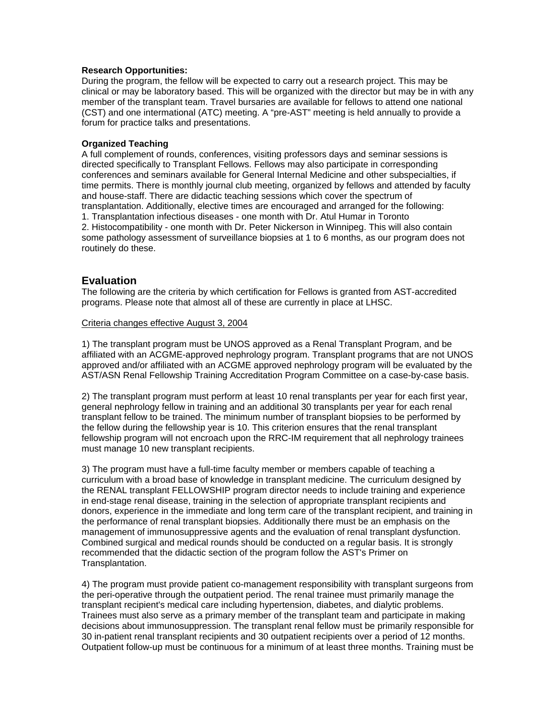#### **Research Opportunities:**

During the program, the fellow will be expected to carry out a research project. This may be clinical or may be laboratory based. This will be organized with the director but may be in with any member of the transplant team. Travel bursaries are available for fellows to attend one national (CST) and one intermational (ATC) meeting. A "pre-AST" meeting is held annually to provide a forum for practice talks and presentations.

#### **Organized Teaching**

A full complement of rounds, conferences, visiting professors days and seminar sessions is directed specifically to Transplant Fellows. Fellows may also participate in corresponding conferences and seminars available for General Internal Medicine and other subspecialties, if time permits. There is monthly journal club meeting, organized by fellows and attended by faculty and house-staff. There are didactic teaching sessions which cover the spectrum of transplantation. Additionally, elective times are encouraged and arranged for the following: 1. Transplantation infectious diseases - one month with Dr. Atul Humar in Toronto 2. Histocompatibility - one month with Dr. Peter Nickerson in Winnipeg. This will also contain some pathology assessment of surveillance biopsies at 1 to 6 months, as our program does not routinely do these.

# **Evaluation**

The following are the criteria by which certification for Fellows is granted from AST-accredited programs. Please note that almost all of these are currently in place at LHSC.

#### Criteria changes effective August 3, 2004

1) The transplant program must be UNOS approved as a Renal Transplant Program, and be affiliated with an ACGME-approved nephrology program. Transplant programs that are not UNOS approved and/or affiliated with an ACGME approved nephrology program will be evaluated by the AST/ASN Renal Fellowship Training Accreditation Program Committee on a case-by-case basis.

2) The transplant program must perform at least 10 renal transplants per year for each first year, general nephrology fellow in training and an additional 30 transplants per year for each renal transplant fellow to be trained. The minimum number of transplant biopsies to be performed by the fellow during the fellowship year is 10. This criterion ensures that the renal transplant fellowship program will not encroach upon the RRC-IM requirement that all nephrology trainees must manage 10 new transplant recipients.

3) The program must have a full-time faculty member or members capable of teaching a curriculum with a broad base of knowledge in transplant medicine. The curriculum designed by the RENAL transplant FELLOWSHIP program director needs to include training and experience in end-stage renal disease, training in the selection of appropriate transplant recipients and donors, experience in the immediate and long term care of the transplant recipient, and training in the performance of renal transplant biopsies. Additionally there must be an emphasis on the management of immunosuppressive agents and the evaluation of renal transplant dysfunction. Combined surgical and medical rounds should be conducted on a regular basis. It is strongly recommended that the didactic section of the program follow the AST's Primer on Transplantation.

4) The program must provide patient co-management responsibility with transplant surgeons from the peri-operative through the outpatient period. The renal trainee must primarily manage the transplant recipient's medical care including hypertension, diabetes, and dialytic problems. Trainees must also serve as a primary member of the transplant team and participate in making decisions about immunosuppression. The transplant renal fellow must be primarily responsible for 30 in-patient renal transplant recipients and 30 outpatient recipients over a period of 12 months. Outpatient follow-up must be continuous for a minimum of at least three months. Training must be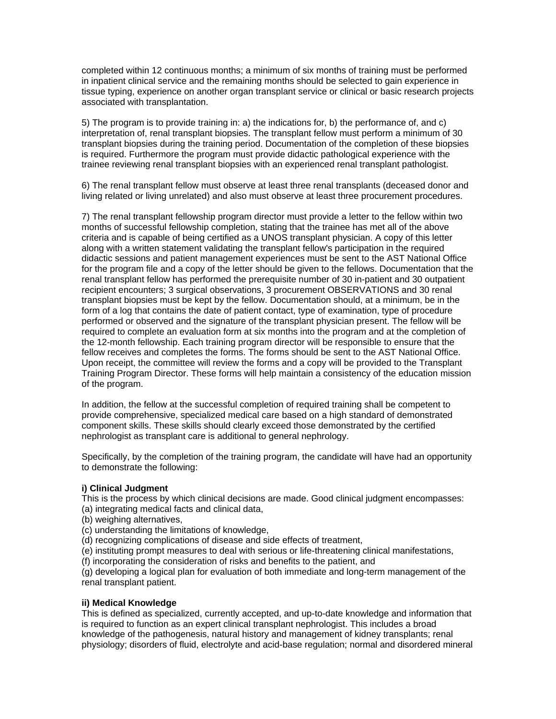completed within 12 continuous months; a minimum of six months of training must be performed in inpatient clinical service and the remaining months should be selected to gain experience in tissue typing, experience on another organ transplant service or clinical or basic research projects associated with transplantation.

5) The program is to provide training in: a) the indications for, b) the performance of, and c) interpretation of, renal transplant biopsies. The transplant fellow must perform a minimum of 30 transplant biopsies during the training period. Documentation of the completion of these biopsies is required. Furthermore the program must provide didactic pathological experience with the trainee reviewing renal transplant biopsies with an experienced renal transplant pathologist.

6) The renal transplant fellow must observe at least three renal transplants (deceased donor and living related or living unrelated) and also must observe at least three procurement procedures.

7) The renal transplant fellowship program director must provide a letter to the fellow within two months of successful fellowship completion, stating that the trainee has met all of the above criteria and is capable of being certified as a UNOS transplant physician. A copy of this letter along with a written statement validating the transplant fellow's participation in the required didactic sessions and patient management experiences must be sent to the AST National Office for the program file and a copy of the letter should be given to the fellows. Documentation that the renal transplant fellow has performed the prerequisite number of 30 in-patient and 30 outpatient recipient encounters; 3 surgical observations, 3 procurement OBSERVATIONS and 30 renal transplant biopsies must be kept by the fellow. Documentation should, at a minimum, be in the form of a log that contains the date of patient contact, type of examination, type of procedure performed or observed and the signature of the transplant physician present. The fellow will be required to complete an evaluation form at six months into the program and at the completion of the 12-month fellowship. Each training program director will be responsible to ensure that the fellow receives and completes the forms. The forms should be sent to the AST National Office. Upon receipt, the committee will review the forms and a copy will be provided to the Transplant Training Program Director. These forms will help maintain a consistency of the education mission of the program.

In addition, the fellow at the successful completion of required training shall be competent to provide comprehensive, specialized medical care based on a high standard of demonstrated component skills. These skills should clearly exceed those demonstrated by the certified nephrologist as transplant care is additional to general nephrology.

Specifically, by the completion of the training program, the candidate will have had an opportunity to demonstrate the following:

#### **i) Clinical Judgment**

This is the process by which clinical decisions are made. Good clinical judgment encompasses: (a) integrating medical facts and clinical data,

- (b) weighing alternatives,
- (c) understanding the limitations of knowledge,
- (d) recognizing complications of disease and side effects of treatment,

(e) instituting prompt measures to deal with serious or life-threatening clinical manifestations,

(f) incorporating the consideration of risks and benefits to the patient, and

(g) developing a logical plan for evaluation of both immediate and long-term management of the renal transplant patient.

#### **ii) Medical Knowledge**

This is defined as specialized, currently accepted, and up-to-date knowledge and information that is required to function as an expert clinical transplant nephrologist. This includes a broad knowledge of the pathogenesis, natural history and management of kidney transplants; renal physiology; disorders of fluid, electrolyte and acid-base regulation; normal and disordered mineral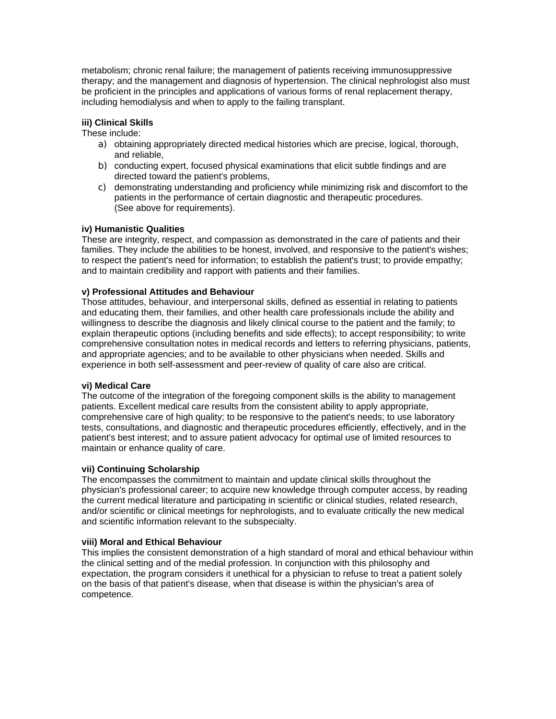metabolism; chronic renal failure; the management of patients receiving immunosuppressive therapy; and the management and diagnosis of hypertension. The clinical nephrologist also must be proficient in the principles and applications of various forms of renal replacement therapy, including hemodialysis and when to apply to the failing transplant.

### **iii) Clinical Skills**

These include:

- a) obtaining appropriately directed medical histories which are precise, logical, thorough, and reliable,
- b) conducting expert, focused physical examinations that elicit subtle findings and are directed toward the patient's problems,
- c) demonstrating understanding and proficiency while minimizing risk and discomfort to the patients in the performance of certain diagnostic and therapeutic procedures. (See above for requirements).

### **iv) Humanistic Qualities**

These are integrity, respect, and compassion as demonstrated in the care of patients and their families. They include the abilities to be honest, involved, and responsive to the patient's wishes; to respect the patient's need for information; to establish the patient's trust; to provide empathy; and to maintain credibility and rapport with patients and their families.

### **v) Professional Attitudes and Behaviour**

Those attitudes, behaviour, and interpersonal skills, defined as essential in relating to patients and educating them, their families, and other health care professionals include the ability and willingness to describe the diagnosis and likely clinical course to the patient and the family; to explain therapeutic options (including benefits and side effects); to accept responsibility; to write comprehensive consultation notes in medical records and letters to referring physicians, patients, and appropriate agencies; and to be available to other physicians when needed. Skills and experience in both self-assessment and peer-review of quality of care also are critical.

#### **vi) Medical Care**

The outcome of the integration of the foregoing component skills is the ability to management patients. Excellent medical care results from the consistent ability to apply appropriate, comprehensive care of high quality; to be responsive to the patient's needs; to use laboratory tests, consultations, and diagnostic and therapeutic procedures efficiently, effectively, and in the patient's best interest; and to assure patient advocacy for optimal use of limited resources to maintain or enhance quality of care.

#### **vii) Continuing Scholarship**

The encompasses the commitment to maintain and update clinical skills throughout the physician's professional career; to acquire new knowledge through computer access, by reading the current medical literature and participating in scientific or clinical studies, related research, and/or scientific or clinical meetings for nephrologists, and to evaluate critically the new medical and scientific information relevant to the subspecialty.

#### **viii) Moral and Ethical Behaviour**

This implies the consistent demonstration of a high standard of moral and ethical behaviour within the clinical setting and of the medial profession. In conjunction with this philosophy and expectation, the program considers it unethical for a physician to refuse to treat a patient solely on the basis of that patient's disease, when that disease is within the physician's area of competence.